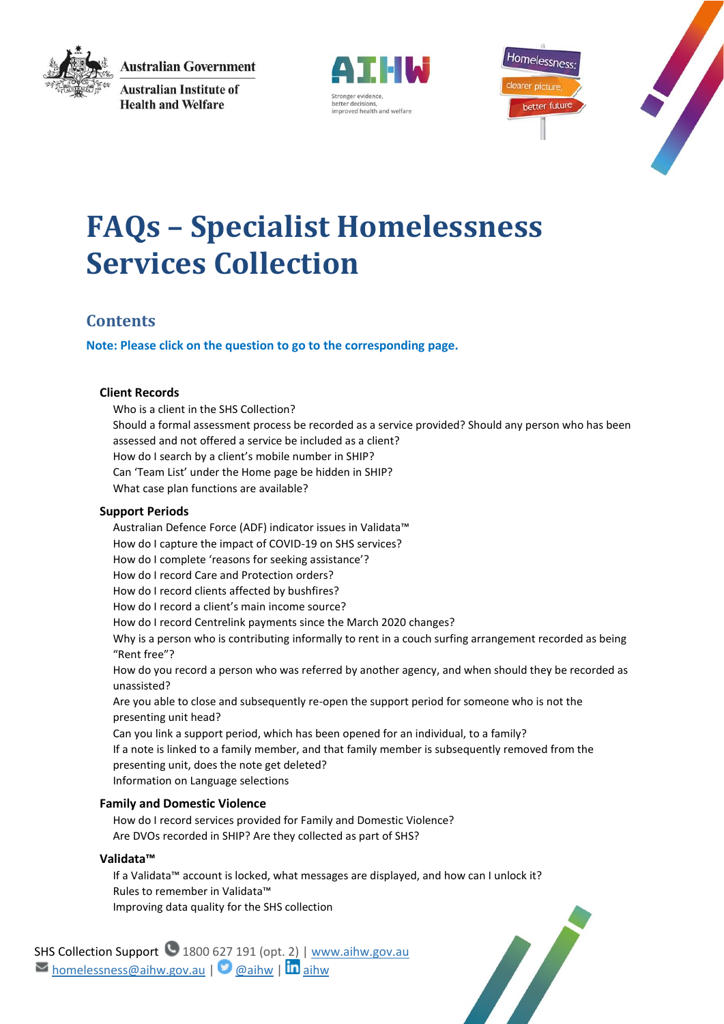**Australian Government Australian Institute of Health and Welfare** 







# **FAQs – Specialist Homelessness Services Collection**

# **Contents**

**Note: Please click on the question to go to the corresponding page.**

# **[Client Records](#page-2-0)**

[Who is a client in the SHS Collection?](#page-2-1) [Should a formal assessment process be recorded as a service provided? Should any person who has been](#page-2-2)  [assessed and not offered a service be included as a client?](#page-2-2) [How do I search by a client's mobile number in SHIP?](#page-2-3) [Can 'Team List' under the Home page be hidden in SHIP?](#page-2-4) [What case plan functions are available?](#page-3-0)

### **[Support Periods](#page-3-1)**

[Australian Defence Force \(ADF\) indicator issues in Validata™](#page-3-2) [How do I capture the impact of COVID-19 on SHS services?](#page-3-3) [How do I complete 'reasons for seeking assistance'?](#page-4-0) [How do I record Care and Protection orders?](#page-4-1) [How do I record clients affected by bushfires?](#page-4-0) [How do I record a client's main income source?](#page-4-2) [How do I record Centrelink payments since the March 2020 changes?](#page-5-0) [Why is a person who is contributing informally to rent in a couch surfing arrangement recorded as being](#page-5-1)  ["Rent free"?](#page-5-1) [How do you record a person who was referred by another agency, and when should they be recorded as](#page-2-3)  [unassisted?](#page-2-3) [Are you able to close and subsequently re-open the support period for someone who is not the](#page-5-2)  [presenting unit head?](#page-5-2) [Can you link a support period, which has been opened for an individual, to a family?](#page-5-3) [If a note is linked to a family member, and that family member is subsequently removed from the](#page-6-0)  [presenting unit, does the note get deleted?](#page-6-0) [Information on Language selections](#page-6-1)

# **[Family and Domestic Violence](#page-6-2)**

[How do I record services provided for Family and Domestic Violence?](#page-6-3) [Are DVOs recorded in SHIP? Are they collected as part of SHS?](#page-6-4)

# **[Validata™](#page-6-5)**

[If a Validata™ account is locked, what messages are displayed, and how can I unlock it?](#page-7-0) [Rules to remember in Validata™](#page-7-1) Improving data quality for the SHS collection

SHS Collection Support 1800 627 191 (opt. 2) | [www.aihw.gov.au](http://www.aihw.gov.au/)  $\triangleright$  [homelessness@aihw.gov.au](mailto:homelessness@aihw.gov.au) |  $\triangleright$  [@aihw](https://twitter.com/aihw) |  $\ln$ [aihw](https://www.linkedin.com/company/australian-institute-of-health-and-welfare/)

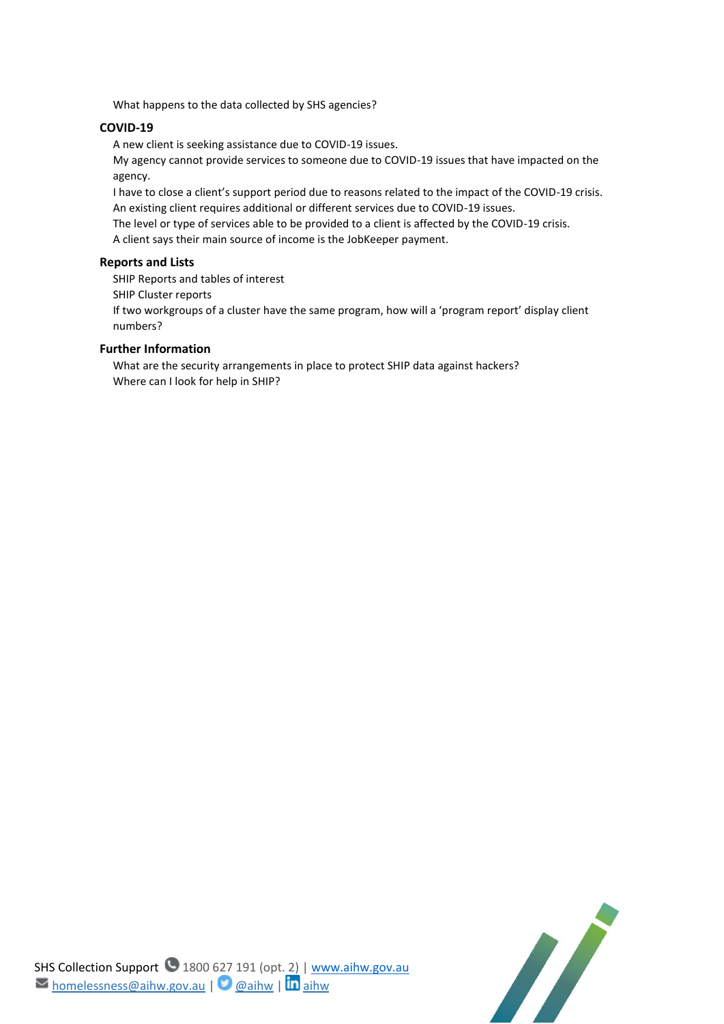[What happens to the data collected by SHS agencies?](#page-7-2)

### **[COVID-19](#page-8-0)**

[A new client is seeking assistance due to COVID-19 issues.](#page-8-1)

[My agency cannot provide services to someone due to COVID-19 issues that have impacted on the](#page-8-2)  [agency.](#page-8-2)

[I have to close a client's support period due to reasons related to the impact of the COVID](#page-8-3)-19 crisis. [An existing client requires additional or different services due to COVID-19 issues.](#page-8-4)

[The level or type of services able to be provided to a client is affected by the COVID-19 crisis.](#page-9-0) [A client says their main source of income is the JobKeeper payment.](#page-9-1)

### **[Reports and Lists](#page-9-2)**

[SHIP Reports and tables of interest](#page-9-3)

[SHIP Cluster reports](#page-9-4)

[If two workgroups of a cluster have the same program, how will a 'program report' display client](#page-10-0)  [numbers?](#page-10-0)

### **[Further Information](#page-10-1)**

What are the security [arrangements in place to protect SHIP data against hackers?](#page-10-2) [Where can I look for help in SHIP?](#page-11-0)

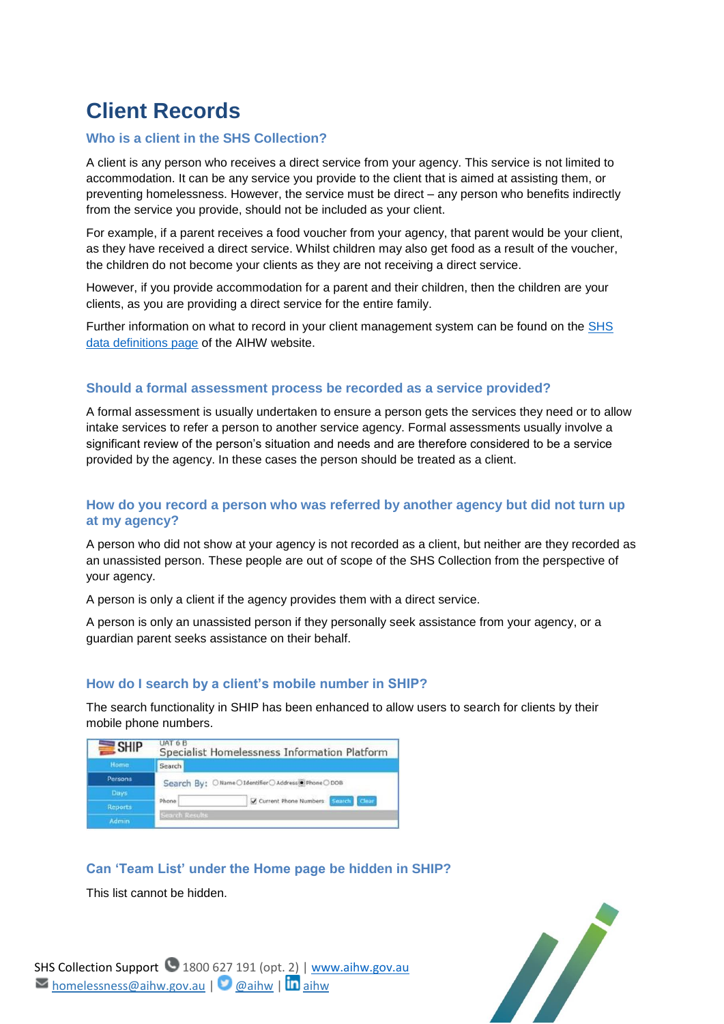# <span id="page-2-0"></span>**Client Records**

### <span id="page-2-1"></span>**Who is a client in the SHS Collection?**

A client is any person who receives a direct service from your agency. This service is not limited to accommodation. It can be any service you provide to the client that is aimed at assisting them, or preventing homelessness. However, the service must be direct – any person who benefits indirectly from the service you provide, should not be included as your client.

For example, if a parent receives a food voucher from your agency, that parent would be your client, as they have received a direct service. Whilst children may also get food as a result of the voucher, the children do not become your clients as they are not receiving a direct service.

However, if you provide accommodation for a parent and their children, then the children are your clients, as you are providing a direct service for the entire family.

Further information on what to record in your client management system can be found on the [SHS](https://www.aihw.gov.au/about-our-data/our-data-collections/specialist-homelessness-services-collection/shs-data-definitions)  [data definitions page](https://www.aihw.gov.au/about-our-data/our-data-collections/specialist-homelessness-services-collection/shs-data-definitions) of the AIHW website.

# <span id="page-2-2"></span>**Should a formal assessment process be recorded as a service provided?**

A formal assessment is usually undertaken to ensure a person gets the services they need or to allow intake services to refer a person to another service agency. Formal assessments usually involve a significant review of the person's situation and needs and are therefore considered to be a service provided by the agency. In these cases the person should be treated as a client.

### <span id="page-2-3"></span>**How do you record a person who was referred by another agency but did not turn up at my agency?**

A person who did not show at your agency is not recorded as a client, but neither are they recorded as an unassisted person. These people are out of scope of the SHS Collection from the perspective of your agency.

A person is only a client if the agency provides them with a direct service.

A person is only an unassisted person if they personally seek assistance from your agency, or a guardian parent seeks assistance on their behalf.

# **How do I search by a client's mobile number in SHIP?**

The search functionality in SHIP has been enhanced to allow users to search for clients by their mobile phone numbers.

| <b>SHIP</b>    | <b>UAT 6 B</b><br>Specialist Homelessness Information Platform |  |
|----------------|----------------------------------------------------------------|--|
| <b>Home</b>    | Search                                                         |  |
| Persons        | Search By: ONameO1dentifierOAddress@PhoneODOB                  |  |
| Days           |                                                                |  |
| <b>Reports</b> | Current Phone Numbers Search Clear<br>Phone                    |  |
| <b>Admin</b>   | <b>Search Results</b>                                          |  |

# <span id="page-2-4"></span>**Can 'Team List' under the Home page be hidden in SHIP?**

This list cannot be hidden.

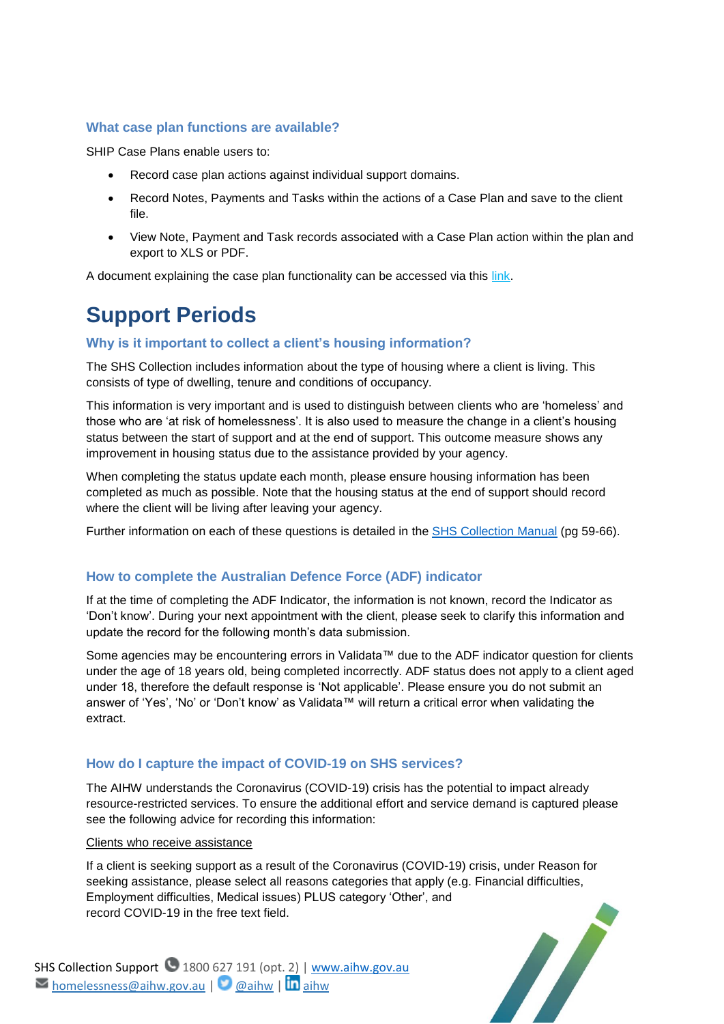### <span id="page-3-0"></span>**What case plan functions are available?**

SHIP Case Plans enable users to:

- Record case plan actions against individual support domains.
- Record Notes, Payments and Tasks within the actions of a Case Plan and save to the client file.
- View Note, Payment and Task records associated with a Case Plan action within the plan and export to XLS or PDF.

A document explaining the case plan functionality can be accessed via this [link.](https://www.aihw.gov.au/getmedia/64c8fa25-af69-496f-bf56-2780dd91d67f/SHIP-case-plan-functionality.pdf.aspx)

# <span id="page-3-1"></span>**Support Periods**

# <span id="page-3-2"></span>**Why is it important to collect a client's housing information?**

The SHS Collection includes information about the type of housing where a client is living. This consists of type of dwelling, tenure and conditions of occupancy.

This information is very important and is used to distinguish between clients who are 'homeless' and those who are 'at risk of homelessness'. It is also used to measure the change in a client's housing status between the start of support and at the end of support. This outcome measure shows any improvement in housing status due to the assistance provided by your agency.

When completing the status update each month, please ensure housing information has been completed as much as possible. Note that the housing status at the end of support should record where the client will be living after leaving your agency.

Further information on each of these questions is detailed in the [SHS Collection Manual](https://www.aihw.gov.au/getmedia/328cf07f-cb94-4d5f-94a5-9149984bfdf9/SHS-collection-manual-2017.pdf.aspx) (pg 59-66).

### **How to complete the Australian Defence Force (ADF) indicator**

If at the time of completing the ADF Indicator, the information is not known, record the Indicator as 'Don't know'. During your next appointment with the client, please seek to clarify this information and update the record for the following month's data submission.

Some agencies may be encountering errors in Validata™ due to the ADF indicator question for clients under the age of 18 years old, being completed incorrectly. ADF status does not apply to a client aged under 18, therefore the default response is 'Not applicable'. Please ensure you do not submit an answer of 'Yes', 'No' or 'Don't know' as Validata™ will return a critical error when validating the extract.

### <span id="page-3-3"></span>**How do I capture the impact of COVID-19 on SHS services?**

The AIHW understands the Coronavirus (COVID-19) crisis has the potential to impact already resource-restricted services. To ensure the additional effort and service demand is captured please see the following advice for recording this information:

### Clients who receive assistance

If a client is seeking support as a result of the Coronavirus (COVID-19) crisis, under Reason for seeking assistance, please select all reasons categories that apply (e.g. Financial difficulties, Employment difficulties, Medical issues) PLUS category 'Other', and record COVID-19 in the free text field.

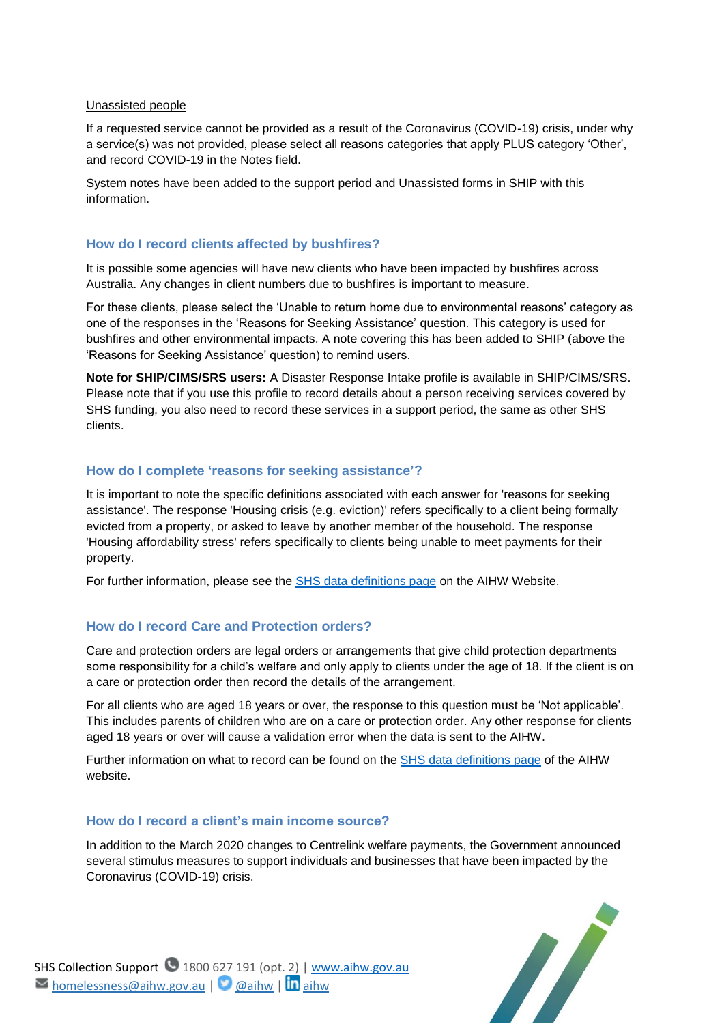### Unassisted people

If a requested service cannot be provided as a result of the Coronavirus (COVID-19) crisis, under why a service(s) was not provided, please select all reasons categories that apply PLUS category 'Other', and record COVID-19 in the Notes field.

System notes have been added to the support period and Unassisted forms in SHIP with this information.

### <span id="page-4-0"></span>**How do I record clients affected by bushfires?**

It is possible some agencies will have new clients who have been impacted by bushfires across Australia. Any changes in client numbers due to bushfires is important to measure.

For these clients, please select the 'Unable to return home due to environmental reasons' category as one of the responses in the 'Reasons for Seeking Assistance' question. This category is used for bushfires and other environmental impacts. A note covering this has been added to SHIP (above the 'Reasons for Seeking Assistance' question) to remind users.

**Note for SHIP/CIMS/SRS users:** A Disaster Response Intake profile is available in SHIP/CIMS/SRS. Please note that if you use this profile to record details about a person receiving services covered by SHS funding, you also need to record these services in a support period, the same as other SHS clients.

### **How do I complete 'reasons for seeking assistance'?**

It is important to note the specific definitions associated with each answer for 'reasons for seeking assistance'. The response 'Housing crisis (e.g. eviction)' refers specifically to a client being formally evicted from a property, or asked to leave by another member of the household. The response 'Housing affordability stress' refers specifically to clients being unable to meet payments for their property.

For further information, please see the [SHS data definitions page](https://www.aihw.gov.au/about-our-data/our-data-collections/specialist-homelessness-services-collection/shs-data-definitions) on the AIHW Website.

### <span id="page-4-1"></span>**How do I record Care and Protection orders?**

Care and protection orders are legal orders or arrangements that give child protection departments some responsibility for a child's welfare and only apply to clients under the age of 18. If the client is on a care or protection order then record the details of the arrangement.

For all clients who are aged 18 years or over, the response to this question must be 'Not applicable'. This includes parents of children who are on a care or protection order. Any other response for clients aged 18 years or over will cause a validation error when the data is sent to the AIHW.

Further information on what to record can be found on the [SHS data definitions page](https://www.aihw.gov.au/about-our-data/our-data-collections/specialist-homelessness-services-collection/shs-data-definitions) of the AIHW website.

### <span id="page-4-2"></span>**How do I record a client's main income source?**

In addition to the March 2020 changes to Centrelink welfare payments, the Government announced several stimulus measures to support individuals and businesses that have been impacted by the Coronavirus (COVID-19) crisis.

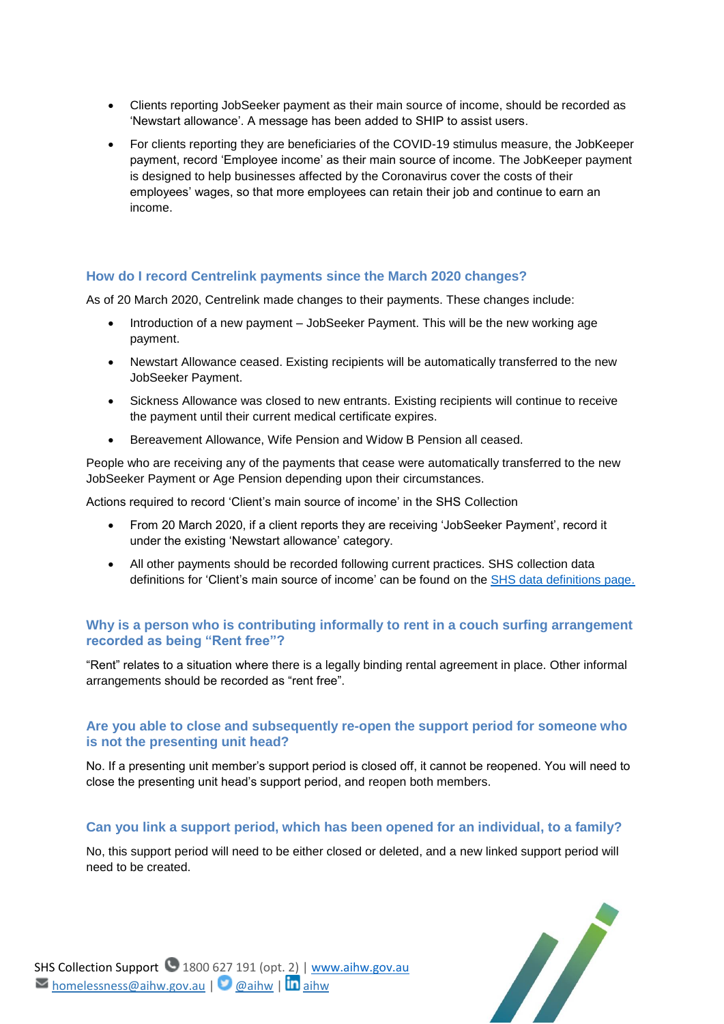- Clients reporting JobSeeker payment as their main source of income, should be recorded as 'Newstart allowance'. A message has been added to SHIP to assist users.
- For clients reporting they are beneficiaries of the COVID-19 stimulus measure, the JobKeeper payment, record 'Employee income' as their main source of income. The JobKeeper payment is designed to help businesses affected by the Coronavirus cover the costs of their employees' wages, so that more employees can retain their job and continue to earn an income.

### <span id="page-5-0"></span>**How do I record Centrelink payments since the March 2020 changes?**

As of 20 March 2020, Centrelink made changes to their payments. These changes include:

- Introduction of a new payment JobSeeker Payment. This will be the new working age payment.
- Newstart Allowance ceased. Existing recipients will be automatically transferred to the new JobSeeker Payment.
- Sickness Allowance was closed to new entrants. Existing recipients will continue to receive the payment until their current medical certificate expires.
- Bereavement Allowance, Wife Pension and Widow B Pension all ceased.

People who are receiving any of the payments that cease were automatically transferred to the new JobSeeker Payment or Age Pension depending upon their circumstances.

Actions required to record 'Client's main source of income' in the SHS Collection

- From 20 March 2020, if a client reports they are receiving 'JobSeeker Payment', record it under the existing 'Newstart allowance' category.
- All other payments should be recorded following current practices. SHS collection data definitions for 'Client's main source of income' can be found on the [SHS data definitions page.](https://www.aihw.gov.au/about-our-data/our-data-collections/specialist-homelessness-services-collection/shs-data-definitions)

### <span id="page-5-1"></span>**Why is a person who is contributing informally to rent in a couch surfing arrangement recorded as being "Rent free"?**

"Rent" relates to a situation where there is a legally binding rental agreement in place. Other informal arrangements should be recorded as "rent free".

### <span id="page-5-2"></span>**Are you able to close and subsequently re-open the support period for someone who is not the presenting unit head?**

No. If a presenting unit member's support period is closed off, it cannot be reopened. You will need to close the presenting unit head's support period, and reopen both members.

### <span id="page-5-3"></span>**Can you link a support period, which has been opened for an individual, to a family?**

No, this support period will need to be either closed or deleted, and a new linked support period will need to be created.

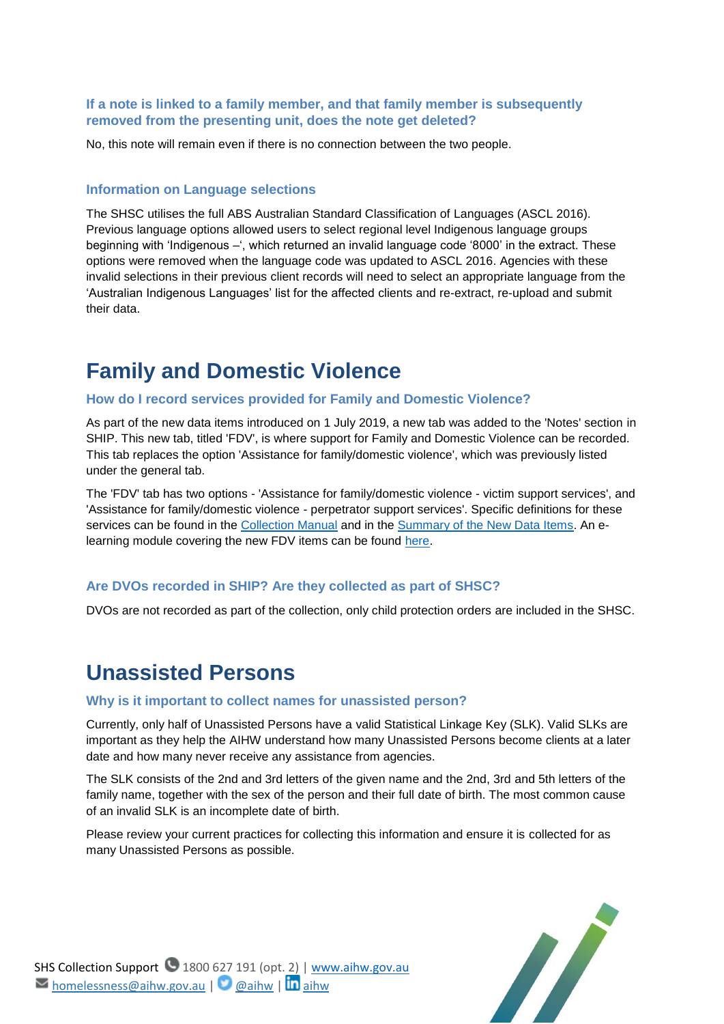### <span id="page-6-0"></span>**If a note is linked to a family member, and that family member is subsequently removed from the presenting unit, does the note get deleted?**

No, this note will remain even if there is no connection between the two people.

### <span id="page-6-1"></span>**Information on Language selections**

The SHSC utilises the full ABS Australian Standard Classification of Languages (ASCL 2016). Previous language options allowed users to select regional level Indigenous language groups beginning with 'Indigenous –', which returned an invalid language code '8000' in the extract. These options were removed when the language code was updated to ASCL 2016. Agencies with these invalid selections in their previous client records will need to select an appropriate language from the 'Australian Indigenous Languages' list for the affected clients and re-extract, re-upload and submit their data.

# <span id="page-6-2"></span>**Family and Domestic Violence**

### <span id="page-6-3"></span>**How do I record services provided for Family and Domestic Violence?**

As part of the new data items introduced on 1 July 2019, a new tab was added to the 'Notes' section in SHIP. This new tab, titled 'FDV', is where support for Family and Domestic Violence can be recorded. This tab replaces the option 'Assistance for family/domestic violence', which was previously listed under the general tab.

The 'FDV' tab has two options - 'Assistance for family/domestic violence - victim support services', and 'Assistance for family/domestic violence - perpetrator support services'. Specific definitions for these services can be found in the [Collection Manual](https://www.aihw.gov.au/getmedia/47792815-cce2-4ebd-858c-68f7c639ff0a/SHS-collection-manual-2019.pdf.aspx) and in the [Summary of the New Data Items.](https://www.aihw.gov.au/getmedia/59381b2f-ceb7-452b-83d8-efd047f440ca/SHS-Collection-items.pdf.aspx) An elearning module covering the new FDV items can be found [here.](https://rise.articulate.com/share/4kss0pWkut65PeeI78uBC_f4_EHLqv76#/_blank)

### <span id="page-6-4"></span>**Are DVOs recorded in SHIP? Are they collected as part of SHSC?**

DVOs are not recorded as part of the collection, only child protection orders are included in the SHSC.

# **Unassisted Persons**

### <span id="page-6-5"></span>**Why is it important to collect names for unassisted person?**

Currently, only half of Unassisted Persons have a valid Statistical Linkage Key (SLK). Valid SLKs are important as they help the AIHW understand how many Unassisted Persons become clients at a later date and how many never receive any assistance from agencies.

The SLK consists of the 2nd and 3rd letters of the given name and the 2nd, 3rd and 5th letters of the family name, together with the sex of the person and their full date of birth. The most common cause of an invalid SLK is an incomplete date of birth.

Please review your current practices for collecting this information and ensure it is collected for as many Unassisted Persons as possible.

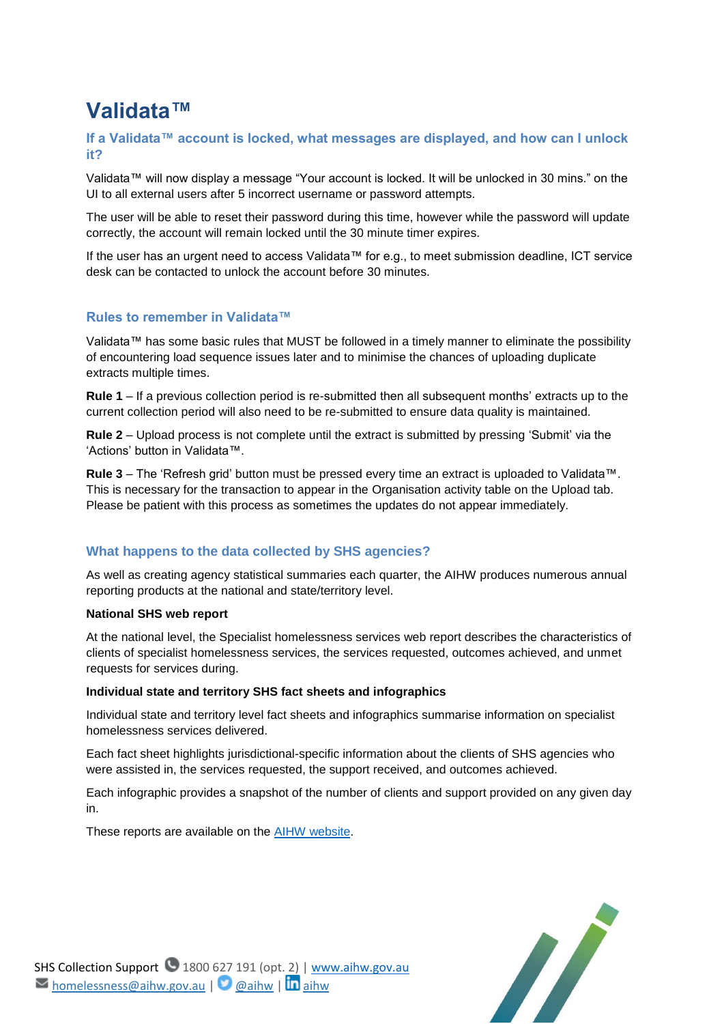# **Validata™**

<span id="page-7-0"></span>**If a Validata™ account is locked, what messages are displayed, and how can I unlock it?**

Validata™ will now display a message "Your account is locked. It will be unlocked in 30 mins." on the UI to all external users after 5 incorrect username or password attempts.

The user will be able to reset their password during this time, however while the password will update correctly, the account will remain locked until the 30 minute timer expires.

If the user has an urgent need to access Validata™ for e.g., to meet submission deadline, ICT service desk can be contacted to unlock the account before 30 minutes.

### <span id="page-7-1"></span>**Rules to remember in Validata™**

Validata™ has some basic rules that MUST be followed in a timely manner to eliminate the possibility of encountering load sequence issues later and to minimise the chances of uploading duplicate extracts multiple times.

**Rule 1** – If a previous collection period is re-submitted then all subsequent months' extracts up to the current collection period will also need to be re-submitted to ensure data quality is maintained.

**Rule 2** – Upload process is not complete until the extract is submitted by pressing 'Submit' via the 'Actions' button in Validata™.

**Rule 3** – The 'Refresh grid' button must be pressed every time an extract is uploaded to Validata™. This is necessary for the transaction to appear in the Organisation activity table on the Upload tab. Please be patient with this process as sometimes the updates do not appear immediately.

### <span id="page-7-2"></span>**What happens to the data collected by SHS agencies?**

As well as creating agency statistical summaries each quarter, the AIHW produces numerous annual reporting products at the national and state/territory level.

#### **National SHS web report**

At the national level, the Specialist homelessness services web report describes the characteristics of clients of specialist homelessness services, the services requested, outcomes achieved, and unmet requests for services during.

#### **Individual state and territory SHS fact sheets and infographics**

Individual state and territory level fact sheets and infographics summarise information on specialist homelessness services delivered.

Each fact sheet highlights jurisdictional-specific information about the clients of SHS agencies who were assisted in, the services requested, the support received, and outcomes achieved.

Each infographic provides a snapshot of the number of clients and support provided on any given day in.

These reports are available on the [AIHW website.](https://www.aihw.gov.au/)

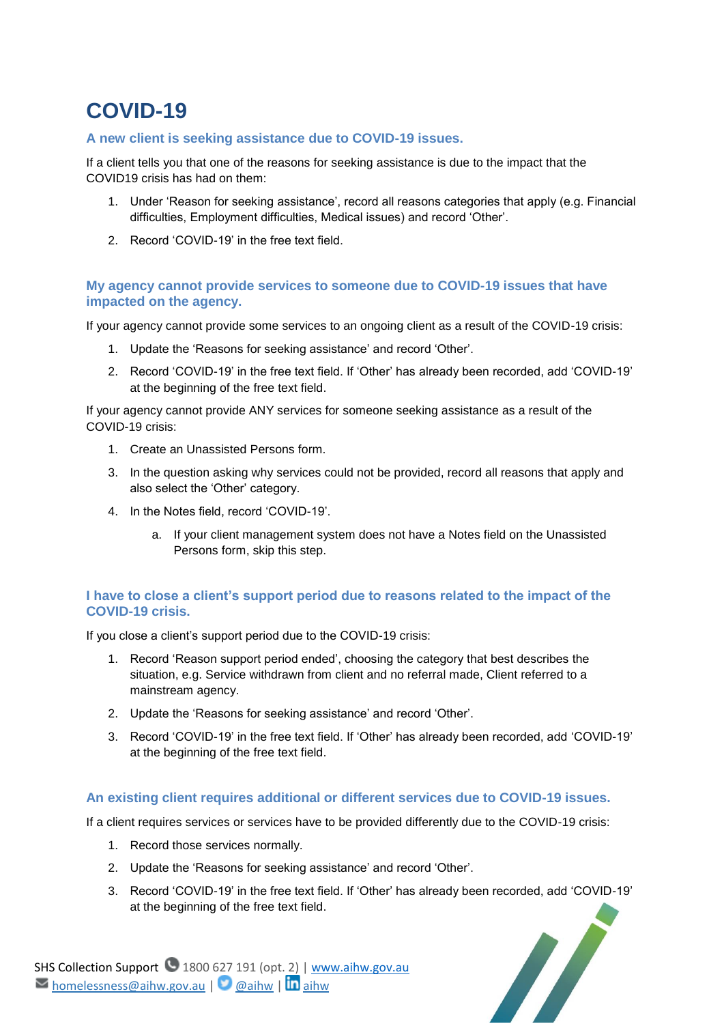# <span id="page-8-0"></span>**COVID-19**

### <span id="page-8-1"></span>**A new client is seeking assistance due to COVID-19 issues.**

If a client tells you that one of the reasons for seeking assistance is due to the impact that the COVID19 crisis has had on them:

- 1. Under 'Reason for seeking assistance', record all reasons categories that apply (e.g. Financial difficulties, Employment difficulties, Medical issues) and record 'Other'.
- 2. Record 'COVID-19' in the free text field.

### <span id="page-8-2"></span>**My agency cannot provide services to someone due to COVID-19 issues that have impacted on the agency.**

If your agency cannot provide some services to an ongoing client as a result of the COVID-19 crisis:

- 1. Update the 'Reasons for seeking assistance' and record 'Other'.
- 2. Record 'COVID-19' in the free text field. If 'Other' has already been recorded, add 'COVID-19' at the beginning of the free text field.

If your agency cannot provide ANY services for someone seeking assistance as a result of the COVID-19 crisis:

- 1. Create an Unassisted Persons form.
- 3. In the question asking why services could not be provided, record all reasons that apply and also select the 'Other' category.
- 4. In the Notes field, record 'COVID-19'.
	- a. If your client management system does not have a Notes field on the Unassisted Persons form, skip this step.

# <span id="page-8-3"></span>**I have to close a client's support period due to reasons related to the impact of the COVID-19 crisis.**

If you close a client's support period due to the COVID-19 crisis:

- 1. Record 'Reason support period ended', choosing the category that best describes the situation, e.g. Service withdrawn from client and no referral made, Client referred to a mainstream agency.
- 2. Update the 'Reasons for seeking assistance' and record 'Other'.
- 3. Record 'COVID-19' in the free text field. If 'Other' has already been recorded, add 'COVID-19' at the beginning of the free text field.

# <span id="page-8-4"></span>**An existing client requires additional or different services due to COVID-19 issues.**

If a client requires services or services have to be provided differently due to the COVID-19 crisis:

- 1. Record those services normally.
- 2. Update the 'Reasons for seeking assistance' and record 'Other'.
- 3. Record 'COVID-19' in the free text field. If 'Other' has already been recorded, add 'COVID-19' at the beginning of the free text field.Septembris 1989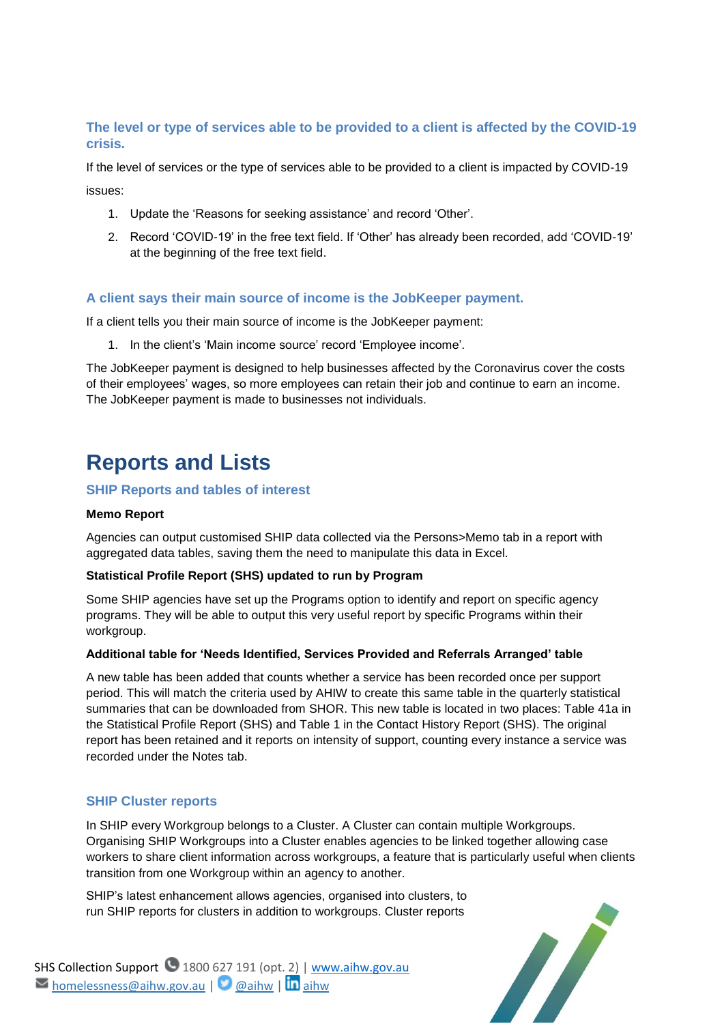# <span id="page-9-0"></span>**The level or type of services able to be provided to a client is affected by the COVID-19 crisis.**

If the level of services or the type of services able to be provided to a client is impacted by COVID-19 issues:

1. Update the 'Reasons for seeking assistance' and record 'Other'.

2. Record 'COVID-19' in the free text field. If 'Other' has already been recorded, add 'COVID-19' at the beginning of the free text field.

# <span id="page-9-1"></span>**A client says their main source of income is the JobKeeper payment.**

If a client tells you their main source of income is the JobKeeper payment:

1. In the client's 'Main income source' record 'Employee income'.

The JobKeeper payment is designed to help businesses affected by the Coronavirus cover the costs of their employees' wages, so more employees can retain their job and continue to earn an income. The JobKeeper payment is made to businesses not individuals.

# <span id="page-9-2"></span>**Reports and Lists**

### <span id="page-9-3"></span>**SHIP Reports and tables of interest**

### **Memo Report**

Agencies can output customised SHIP data collected via the Persons>Memo tab in a report with aggregated data tables, saving them the need to manipulate this data in Excel.

### **Statistical Profile Report (SHS) updated to run by Program**

Some SHIP agencies have set up the Programs option to identify and report on specific agency programs. They will be able to output this very useful report by specific Programs within their workgroup.

### **Additional table for 'Needs Identified, Services Provided and Referrals Arranged' table**

A new table has been added that counts whether a service has been recorded once per support period. This will match the criteria used by AHIW to create this same table in the quarterly statistical summaries that can be downloaded from SHOR. This new table is located in two places: Table 41a in the Statistical Profile Report (SHS) and Table 1 in the Contact History Report (SHS). The original report has been retained and it reports on intensity of support, counting every instance a service was recorded under the Notes tab.

### <span id="page-9-4"></span>**SHIP Cluster reports**

In SHIP every Workgroup belongs to a Cluster. A Cluster can contain multiple Workgroups. Organising SHIP Workgroups into a Cluster enables agencies to be linked together allowing case workers to share client information across workgroups, a feature that is particularly useful when clients transition from one Workgroup within an agency to another.

SHIP's latest enhancement allows agencies, organised into clusters, to run SHIP reports for clusters in addition to workgroups. Cluster reports

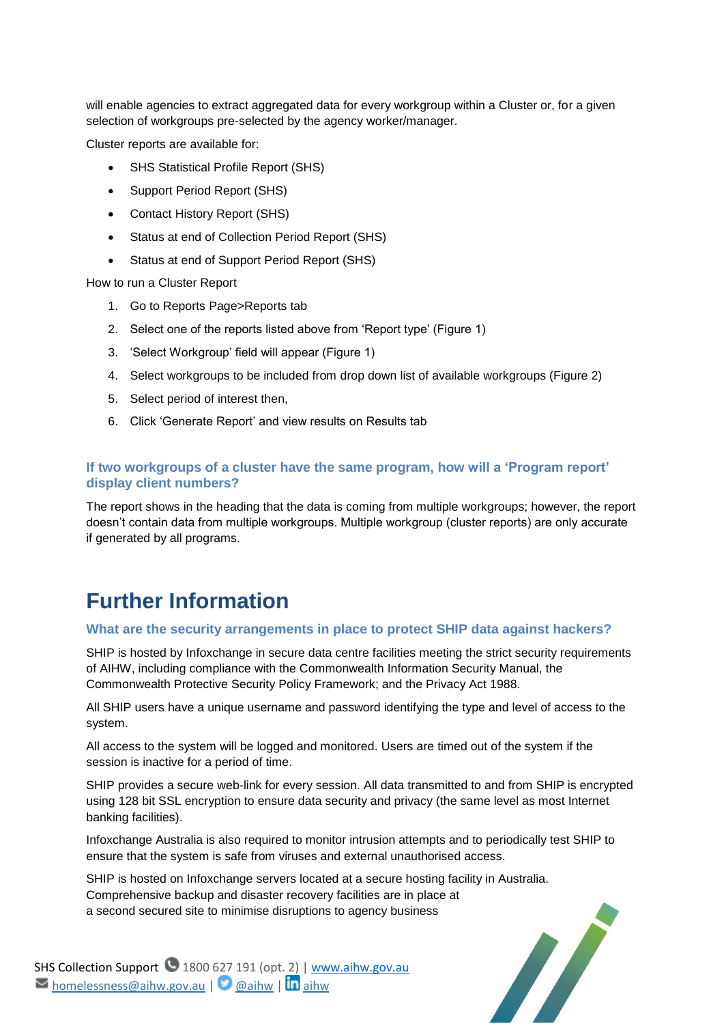will enable agencies to extract aggregated data for every workgroup within a Cluster or, for a given selection of workgroups pre-selected by the agency worker/manager.

Cluster reports are available for:

- SHS Statistical Profile Report (SHS)
- Support Period Report (SHS)
- Contact History Report (SHS)
- Status at end of Collection Period Report (SHS)
- Status at end of Support Period Report (SHS)

How to run a Cluster Report

- 1. Go to Reports Page>Reports tab
- 2. Select one of the reports listed above from 'Report type' (Figure 1)
- 3. 'Select Workgroup' field will appear (Figure 1)
- 4. Select workgroups to be included from drop down list of available workgroups (Figure 2)
- 5. Select period of interest then,
- 6. Click 'Generate Report' and view results on Results tab

### <span id="page-10-0"></span>**If two workgroups of a cluster have the same program, how will a 'Program report' display client numbers?**

The report shows in the heading that the data is coming from multiple workgroups; however, the report doesn't contain data from multiple workgroups. Multiple workgroup (cluster reports) are only accurate if generated by all programs.

# <span id="page-10-1"></span>**Further Information**

### <span id="page-10-2"></span>**What are the security arrangements in place to protect SHIP data against hackers?**

SHIP is hosted by Infoxchange in secure data centre facilities meeting the strict security requirements of AIHW, including compliance with the Commonwealth Information Security Manual, the Commonwealth Protective Security Policy Framework; and the Privacy Act 1988.

All SHIP users have a unique username and password identifying the type and level of access to the system.

All access to the system will be logged and monitored. Users are timed out of the system if the session is inactive for a period of time.

SHIP provides a secure web-link for every session. All data transmitted to and from SHIP is encrypted using 128 bit SSL encryption to ensure data security and privacy (the same level as most Internet banking facilities).

Infoxchange Australia is also required to monitor intrusion attempts and to periodically test SHIP to ensure that the system is safe from viruses and external unauthorised access.

SHIP is hosted on Infoxchange servers located at a secure hosting facility in Australia. Comprehensive backup and disaster recovery facilities are in place at a second secured site to minimise disruptions to agency business